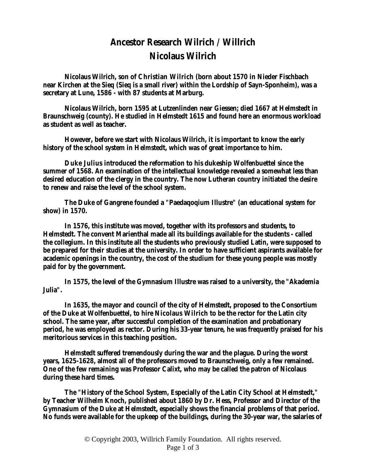## **Ancestor Research Wilrich / Willrich Nicolaus Wilrich**

**Nicolaus Wilrich, son of Christian Wilrich (born about 1570 in Nieder Fischbach near Kirchen at the Sieq (Sieq is a small river) within the Lordship of Sayn-Sponheim), was a secretary at Lune, 1586 - with 87 students at Marburg.** 

**Nicolaus Wilrich, born 1595 at Lutzenlinden near Giessen; died 1667 at Helmstedt in Braunschweig (county). He studied in Helmstedt 1615 and found here an enormous workload as student as well as teacher.** 

**However, before we start with Nicolaus Wilrich, it is important to know the early history of the school system in Helmstedt, which was of great importance to him.** 

**Duke Julius introduced the reformation to his dukeship Wolfenbuettel since the summer of 1568. An examination of the intellectual knowledge revealed a somewhat less than desired education of the clergy in the country. The now Lutheran country initiated the desire to renew and raise the level of the school system.** 

**The Duke of Gangrene founded a "Paedaqoqium Illustre" (an educational system for show) in 1570.** 

**In 1576, this institute was moved, together with its professors and students, to Helmstedt. The convent Marienthal made all its buildings available for the students - called the collegium. In this institute all the students who previously studied Latin, were supposed to be prepared for their studies at the university. In order to have sufficient aspirants available for academic openings in the country, the cost of the studium for these young people was mostly paid for by the government.** 

**In 1575, the level of the Gymnasium Illustre was raised to a university, the "Akademia Julia".** 

**In 1635, the mayor and council of the city of Helmstedt, proposed to the Consortium of the Duke at Wolfenbuettel, to hire Nicolaus Wilrich to be the rector for the Latin city school. The same year, after successful completion of the examination and probationary period, he was employed as rector. During his 33-year tenure, he was frequently praised for his meritorious services in this teaching position.** 

**Helmstedt suffered tremendously during the war and the plague. During the worst years, 1625-1628, almost all of the professors moved to Braunschweig, only a few remained. One of the few remaining was Professor Calixt, who may be called the patron of Nicolaus during these hard times.** 

**The "History of the School System, Especially of the Latin City School at Helmstedt," by Teacher Wilhelm Knoch, published about 1860 by Dr. Hess, Professor and Director of the Gymnasium of the Duke at Helmstedt, especially shows the financial problems of that period. No funds were available for the upkeep of the buildings, during the 30-year war, the salaries of**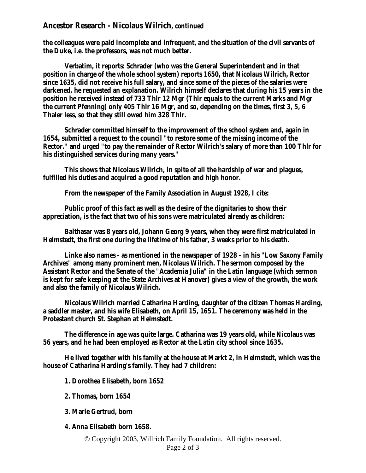## **Ancestor Research - Nicolaus Wilrich,** *continued*

**the colleagues were paid incomplete and infrequent, and the situation of the civil servants of the Duke, i.e. the professors, was not much better.** 

**Verbatim, it reports: Schrader (who was the General Superintendent and in that position in charge of the whole school system) reports 1650, that Nicolaus Wilrich, Rector since 1635, did not receive his full salary, and since some of the pieces of the salaries were darkened, he requested an explanation. Wilrich himself declares that during his 15 years in the position he received instead of 733 Thlr 12 Mgr (Thlr equals to the current Marks and Mgr the current Pfenning) only 405 Thlr 16 Mgr, and so, depending on the times, first 3, 5, 6 Thaler less, so that they still owed him 328 Thlr.** 

**Schrader committed himself to the improvement of the school system and, again in 1654, submitted a request to the council "to restore some of the missing income of the Rector." and urged "to pay the remainder of Rector Wilrich's salary of more than 100 Thlr for his distinguished services during many years."** 

**This shows that Nicolaus Wilrich, in spite of all the hardship of war and plagues, fulfilled his duties and acquired a good reputation and high honor.** 

**From the newspaper of the Family Association in August 1928, I cite:** 

**Public proof of this fact as well as the desire of the dignitaries to show their appreciation, is the fact that two of his sons were matriculated already as children:** 

**Balthasar was 8 years old, Johann Georg 9 years, when they were first matriculated in Helmstedt, the first one during the lifetime of his father, 3 weeks prior to his death.** 

**Linke also names - as mentioned in the newspaper of 1928 - in his "Low Saxony Family Archives" among many prominent men, Nicolaus Wilrich. The sermon composed by the Assistant Rector and the Senate of the "Academia Julia" in the Latin language (which sermon is kept for safe keeping at the State Archives at Hanover) gives a view of the growth, the work and also the family of Nicolaus Wilrich.** 

**Nicolaus Wilrich married Catharina Harding, daughter of the citizen Thomas Harding, a saddler master, and his wife Elisabeth, on April 15, 1651. The ceremony was held in the Protestant church St. Stephan at Helmstedt.** 

**The difference in age was quite large. Catharina was 19 years old, while Nicolaus was 56 years, and he had been employed as Rector at the Latin city school since 1635.** 

**He lived together with his family at the house at Markt 2, in Helmstedt, which was the house of Catharina Harding's family. They had 7 children:** 

**1. Dorothea Elisabeth, born 1652** 

- **2. Thomas, born 1654**
- **3. Marie Gertrud, born**

**4. Anna Elisabeth born 1658.** 

© Copyright 2003, Willrich Family Foundation. All rights reserved.